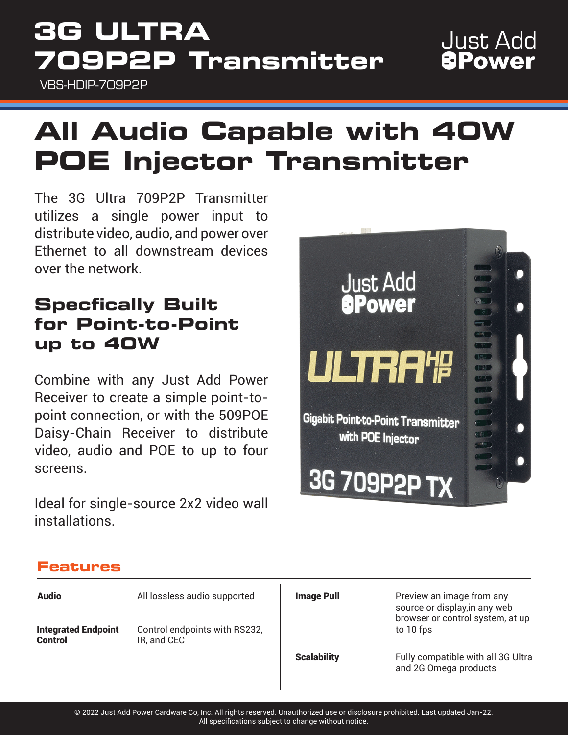# **3G ULTRA 709P2P Transmitter**

VBS-HDIP-709P2P

## **Just Add** *<u>BPower</u>*

# **All Audio Capable with 40W POE Injector Transmitter**

The 3G Ultra 709P2P Transmitter utilizes a single power input to distribute video, audio, and power over Ethernet to all downstream devices over the network.

### **Specfically Built for Point-to-Point up to 40W**

Combine with any Just Add Power Receiver to create a simple point-topoint connection, or with the 509POE Daisy-Chain Receiver to distribute video, audio and POE to up to four screens.

Ideal for single-source 2x2 video wall installations.



### **Features**

| <b>Audio</b>                                 | All lossless audio supported                 | <b>Image Pull</b>  | Preview an image from any<br>source or display, in any web<br>browser or control system, at up |
|----------------------------------------------|----------------------------------------------|--------------------|------------------------------------------------------------------------------------------------|
| <b>Integrated Endpoint</b><br><b>Control</b> | Control endpoints with RS232,<br>IR, and CEC |                    | to 10 fps                                                                                      |
|                                              |                                              | <b>Scalability</b> | Fully compatible with all 3G Ultra<br>and 2G Omega products                                    |